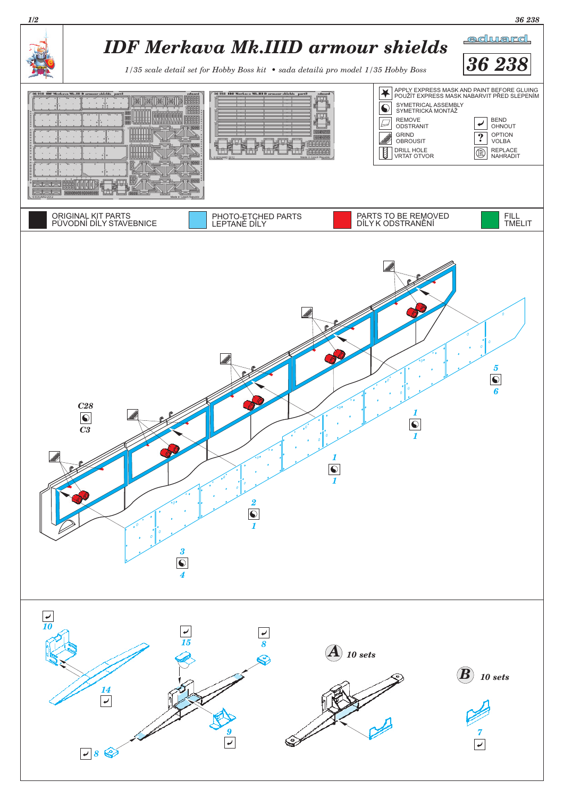